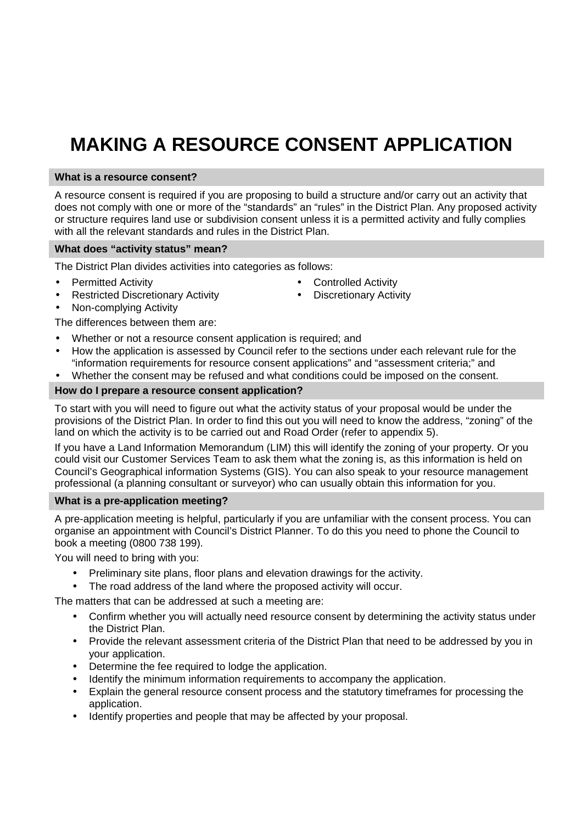# **MAKING A RESOURCE CONSENT APPLICATION**

## **What is a resource consent?**

A resource consent is required if you are proposing to build a structure and/or carry out an activity that does not comply with one or more of the "standards" an "rules" in the District Plan. Any proposed activity or structure requires land use or subdivision consent unless it is a permitted activity and fully complies with all the relevant standards and rules in the District Plan.

#### **What does "activity status" mean?**

The District Plan divides activities into categories as follows:

- Permitted Activity
- Restricted Discretionary Activity
- Non-complying Activity

The differences between them are:

- Whether or not a resource consent application is required; and
- How the application is assessed by Council refer to the sections under each relevant rule for the "information requirements for resource consent applications" and "assessment criteria;" and
- Whether the consent may be refused and what conditions could be imposed on the consent.

## **How do I prepare a resource consent application?**

To start with you will need to figure out what the activity status of your proposal would be under the provisions of the District Plan. In order to find this out you will need to know the address, "zoning" of the land on which the activity is to be carried out and Road Order (refer to appendix 5).

If you have a Land Information Memorandum (LIM) this will identify the zoning of your property. Or you could visit our Customer Services Team to ask them what the zoning is, as this information is held on Council's Geographical information Systems (GIS). You can also speak to your resource management professional (a planning consultant or surveyor) who can usually obtain this information for you.

## **What is a pre-application meeting?**

A pre-application meeting is helpful, particularly if you are unfamiliar with the consent process. You can organise an appointment with Council's District Planner. To do this you need to phone the Council to book a meeting (0800 738 199).

You will need to bring with you:

- Preliminary site plans, floor plans and elevation drawings for the activity.
- The road address of the land where the proposed activity will occur.

The matters that can be addressed at such a meeting are:

- Confirm whether you will actually need resource consent by determining the activity status under the District Plan.
- Provide the relevant assessment criteria of the District Plan that need to be addressed by you in your application.
- Determine the fee required to lodge the application.
- Identify the minimum information requirements to accompany the application.
- Explain the general resource consent process and the statutory timeframes for processing the application.
- Identify properties and people that may be affected by your proposal.
- Controlled Activity
- **Discretionary Activity**